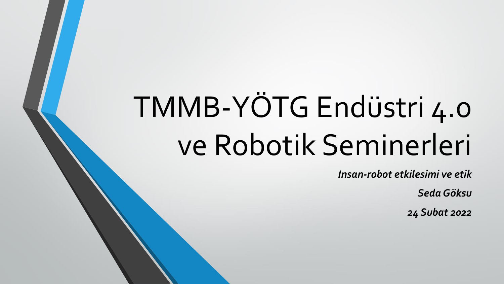# TMMB-YÖTG Endüstri 4.0 ve Robotik Seminerleri

*Insan-robot etkilesimi ve etik*

*Seda Göksu*

*24 Subat 2022*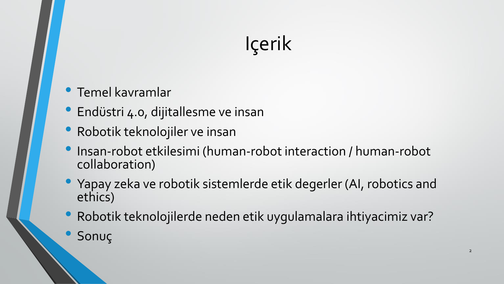# Içerik

#### • Temel kavramlar

- Endüstri 4.0, dijitallesme ve insan
- Robotik teknolojiler ve insan
- Insan-robot etkilesimi (human-robot interaction / human-robot collaboration)
- Yapay zeka ve robotik sistemlerde etik degerler (AI, robotics and ethics)
- Robotik teknolojilerde neden etik uygulamalara ihtiyacimiz var?
- Sonuç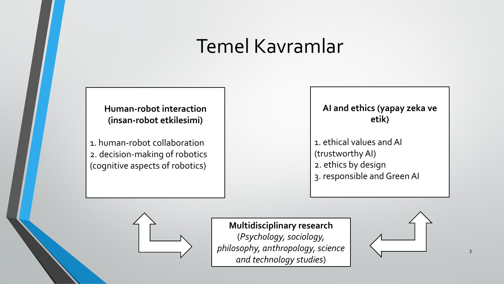#### Temel Kavramlar

**Human-robot interaction (insan-robot etkilesimi)**

1. human-robot collaboration 2. decision-making of robotics (cognitive aspects of robotics)

**AI and ethics (yapay zeka ve etik)**

1. ethical values and AI (trustworthy AI) 2. ethics by design 3. responsible and Green AI



**Multidisciplinary research**  (*Psychology, sociology, philosophy, anthropology, science and technology studies*)

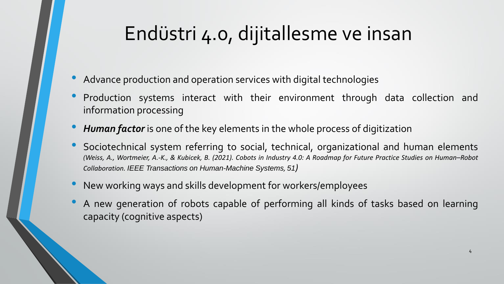### Endüstri 4.0, dijitallesme ve insan

- Advance production and operation services with digital technologies
- Production systems interact with their environment through data collection and information processing
- *Human factor* is one of the key elements in the whole process of digitization
- Sociotechnical system referring to social, technical, organizational and human elements (Weiss, A., Wortmeier, A.-K., & Kubicek, B. (2021). Cobots in Industry 4.0: A Roadmap for Future Practice Studies on Human-Robot *Collaboration. IEEE Transactions on Human-Machine Systems, 51)*
- New working ways and skills development for workers/employees
- <sup>A</sup> new generation of robots capable of performing all kinds of tasks based on learning capacity (cognitive aspects)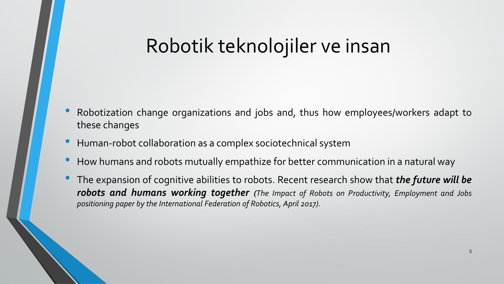### Robotik teknolojiler ve insan

- Robotization change organizations and jobs and, thus how employees/workers adapt to these changes
- Human-robot collaboration as <sup>a</sup> complex sociotechnical system
- How humans and robots mutually empathize for better communication in <sup>a</sup> natural way
- The expansion of cognitive abilities to robots. Recent research show that *the future will be robots and humans working together (The Impact of Robots on Productivity, Employment and Jobs positioning paper by the International Federation of Robotics, April 2017).*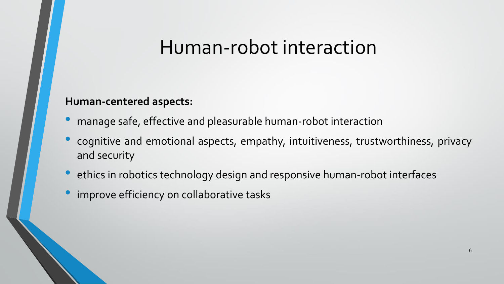#### Human-robot interaction

#### **Human-centered aspects:**

- manage safe, effective and pleasurable human-robot interaction
- cognitive and emotional aspects, empathy, intuitiveness, trustworthiness, privacy and security
- ethics in robotics technology design and responsive human-robot interfaces
- improve efficiency on collaborative tasks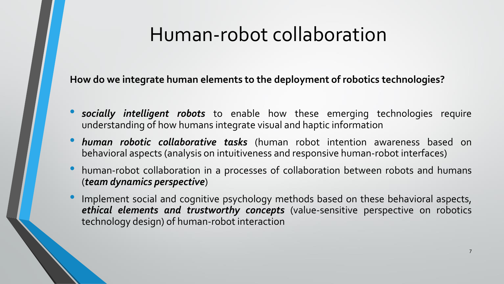### Human-robot collaboration

**How do we integrate human elements to the deployment of robotics technologies?**

- *socially intelligent robots* to enable how these emerging technologies require understanding of how humans integrate visual and haptic information
- *human robotic collaborative tasks* (human robot intention awareness based on behavioral aspects (analysis on intuitiveness and responsive human-robot interfaces)
- human-robot collaboration in <sup>a</sup> processes of collaboration between robots and humans (*team dynamics perspective*)
- Implement social and cognitive psychology methods based on these behavioral aspects, *ethical elements and trustworthy concepts* (value-sensitive perspective on robotics technology design) of human-robot interaction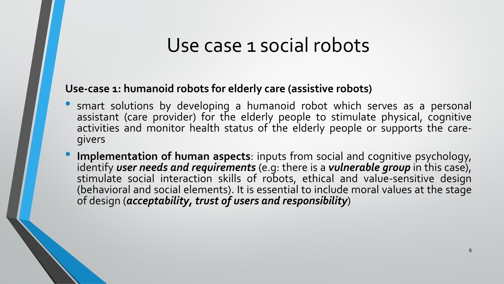#### Use case 1 social robots

#### **Use-case 1: humanoid robots for elderly care (assistive robots)**

- smart solutions by developing a humanoid robot which serves as a personal assistant (care provider) for the elderly people to stimulate physical, cognitive activities and monitor health status of the elderly people or supports the caregivers
- **Implementation of human aspects**: inputs from social and cognitive psychology, identify *user needs and requirements* (e.g: there is a *vulnerable group* in this case), stimulate social interaction skills of robots, ethical and value-sensitive design (behavioral and social elements). It is essential to include moral values at the stage of design (*acceptability, trust of users and responsibility*)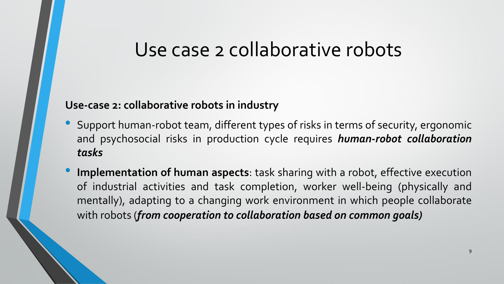#### Use case 2 collaborative robots

#### **Use-case 2: collaborative robots in industry**

- Support human-robot team, different types of risks in terms of security, ergonomic and psychosocial risks in production cycle requires *human-robot collaboration tasks*
- **Implementation of human aspects**: task sharing with <sup>a</sup> robot, effective execution of industrial activities and task completion, worker well-being (physically and mentally), adapting to a changing work environment in which people collaborate with robots (*from cooperation to collaboration based on common goals)*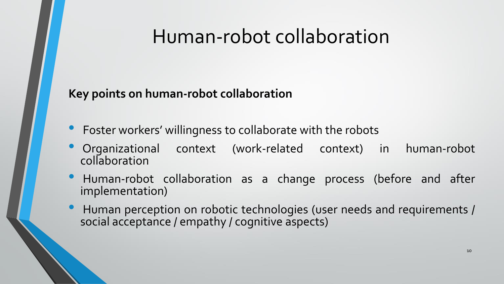#### Human-robot collaboration

#### **Key points on human-robot collaboration**

- Foster workers' willingness to collaborate with the robots
- Organizational context (work-related context) in human-robot collaboration
- Human-robot collaboration as <sup>a</sup> change process (before and after implementation)
- Human perception on robotic technologies (user needs and requirements / social acceptance / empathy / cognitive aspects)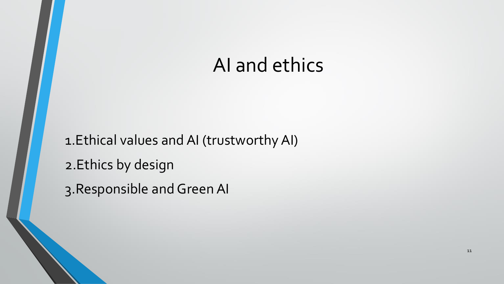#### AI and ethics

1.Ethical values and AI (trustworthy AI) 2.Ethics by design 3.Responsible and Green AI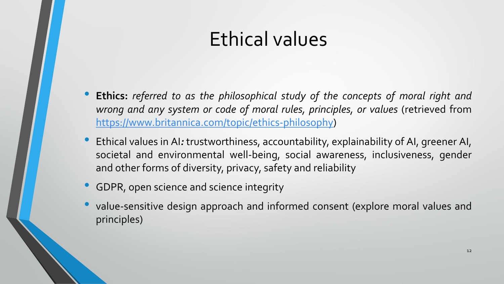### Ethical values

- **Ethics:** *referred to as the philosophical study of the concepts of moral right and wrong and any system or code of moral rules, principles, or values* (retrieved from [https://www.britannica.com/topic/ethics-philosophy\)](https://www.britannica.com/topic/ethics-philosophy)
- Ethical values in AI*:* trustworthiness, accountability, explainability of AI, greener AI, societal and environmental well-being, social awareness, inclusiveness, gender and other forms of diversity, privacy, safety and reliability
- **GDPR, open science and science integrity**
- value-sensitive design approach and informed consent (explore moral values and principles)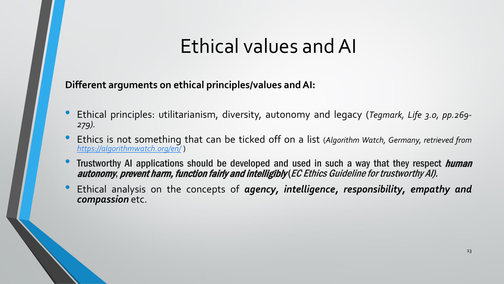#### Ethical values and AI

**Different arguments on ethical principles/values andAI:**

- Ethical principles: utilitarianism, diversity, autonomy and legacy (*Tegmark, Life 3.0, pp.269- 279).*
- Ethics is not something that can be ticked off on <sup>a</sup> list (*Algorithm Watch, Germany, retrieved from <https://algorithmwatch.org/en/>* )
- Trustworthy AI applications should be developed and used in such a way that they respect *human* autonomy, prevent harm, function fairly and intelligibly(EC Ethics Guideline for trustworthy AI).
- Ethical analysis on the concepts of *agency, intelligence, responsibility, empathy and compassion* etc.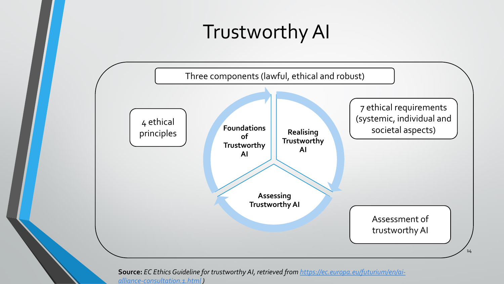### Trustworthy AI



**Source:** *[EC Ethics Guideline for trustworthy AI, retrieved from https://ec.europa.eu/futurium/en/ai](https://ec.europa.eu/futurium/en/ai-alliance-consultation.1.html)alliance-consultation.1.html )*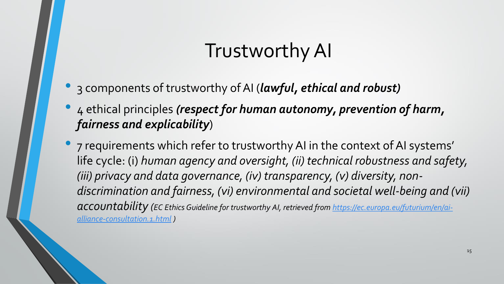### Trustworthy AI

- 3 components of trustworthy of AI (*lawful, ethical and robust)*
- 4 ethical principles *(respect for human autonomy, prevention of harm, fairness and explicability*)
- 7 requirements which refer to trustworthy AI in the context of AI systems' life cycle: (i) *human agency and oversight, (ii) technical robustness and safety, (iii) privacy and data governance, (iv) transparency, (v) diversity, nondiscrimination and fairness, (vi) environmental and societal well-being and (vii) accountability ([EC Ethics Guideline for trustworthy AI, retrieved from https://ec.europa.eu/futurium/en/ai](https://ec.europa.eu/futurium/en/ai-alliance-consultation.1.html)alliance-consultation.1.html )*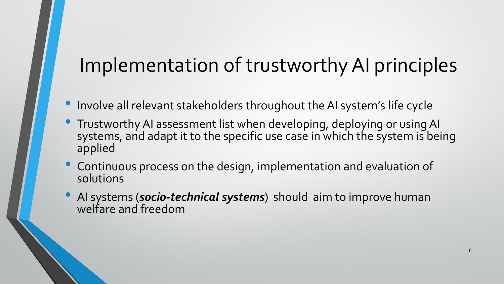### Implementation of trustworthy AI principles

- Involve all relevant stakeholders throughout the AI system's life cycle
- Trustworthy AI assessment list when developing, deploying or using AI systems, and adapt it to the specific use case in which the system is being applied
- Continuous process on the design, implementation and evaluation of solutions
- AI systems (*socio-technical systems*) should aim to improve human welfare and freedom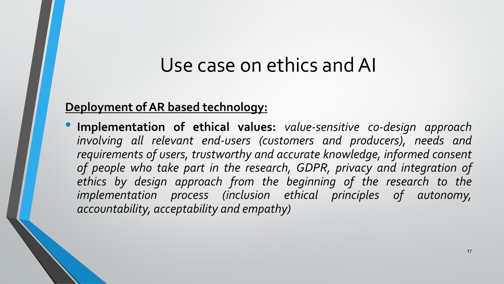#### Use case on ethics and AI

#### **Deployment of AR based technology:**

• **Implementation of ethical values:** *value-sensitive co-design approach involving all relevant end-users (customers and producers), needs and requirements of users, trustworthy and accurate knowledge, informed consent of people who take part in the research, GDPR, privacy and integration of ethics by design approach from the beginning of the research to the implementation process (inclusion ethical principles of autonomy, accountability, acceptability and empathy)*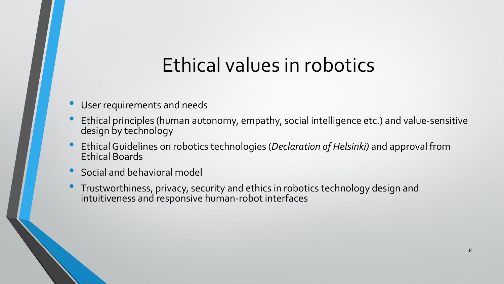### Ethical values in robotics

- User requirements and needs
- Ethical principles (human autonomy, empathy, social intelligence etc.) and value-sensitive design by technology
- Ethical Guidelines on robotics technologies (*Declaration of Helsinki)* and approval from Ethical Boards
- Social and behavioral model
- Trustworthiness, privacy, security and ethics in robotics technology design and intuitiveness and responsive human-robot interfaces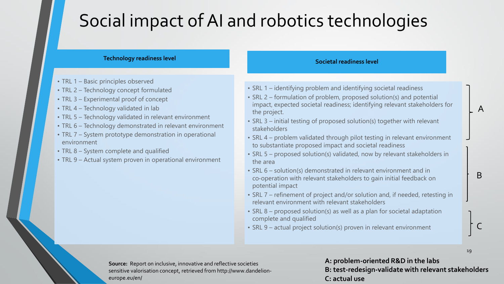#### Social impact of AI and robotics technologies

#### **Technology readiness level**

- TRL 1 Basic principles observed
- TRL 2 Technology concept formulated
- TRL 3 Experimental proof of concept
- TRL 4 Technology validated in lab
- TRL 5 Technology validated in relevant environment
- TRL 6 Technology demonstrated in relevant environment
- TRL 7 System prototype demonstration in operational environment
- TRL 8 System complete and qualified
- TRL 9 Actual system proven in operational environment

#### **Societal readiness level**

- SRL 1 identifying problem and identifying societal readiness
- SRL 2 formulation of problem, proposed solution(s) and potential impact, expected societal readiness; identifying relevant stakeholders for the project.
- SRL 3 initial testing of proposed solution(s) together with relevant stakeholders
- SRL 4 problem validated through pilot testing in relevant environment to substantiate proposed impact and societal readiness
- SRL 5 proposed solution(s) validated, now by relevant stakeholders in the area
- SRL 6 solution(s) demonstrated in relevant environment and in co‐operation with relevant stakeholders to gain initial feedback on potential impact
- SRL 7 refinement of project and/or solution and, if needed, retesting in relevant environment with relevant stakeholders
- SRL 8 proposed solution(s) as well as a plan for societal adaptation complete and qualified
- SRL 9 actual project solution(s) proven in relevant environment

**Source:** Report on inclusive, innovative and reflective societies sensitive valorisation concept, retrieved from http://www.dandelioneurope.eu/en/

**A: problem-oriented R&D in the labs B: test-redesign-validate with relevant stakeholders C: actual use**

19

A

B

C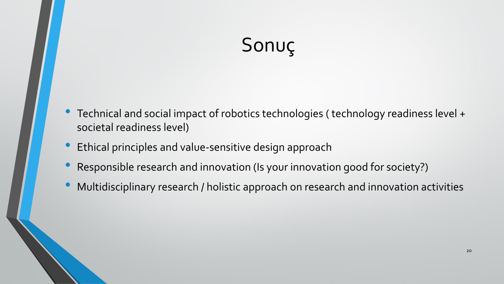## Sonuç

- Technical and social impact of robotics technologies ( technology readiness level + societal readiness level)
- Ethical principles and value-sensitive design approach
- Responsible research and innovation (Is your innovation good for society?)
- Multidisciplinary research / holistic approach on research and innovation activities